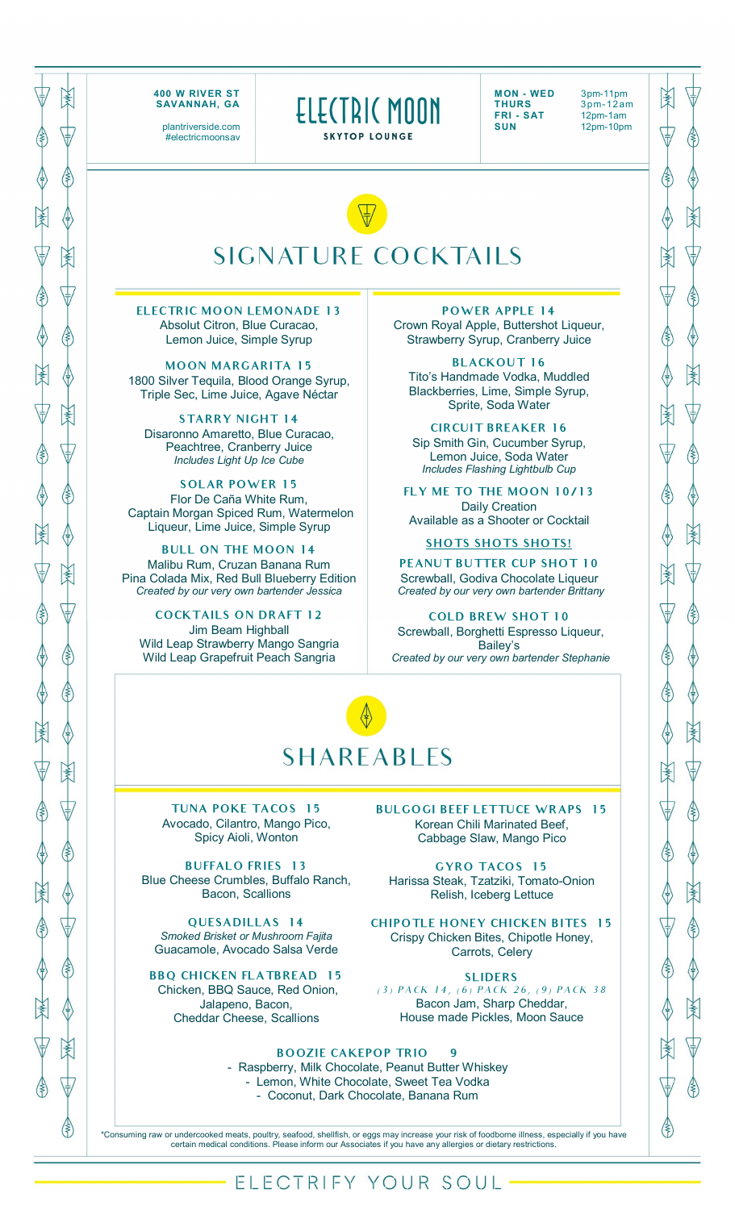

plantriverside.com #electricmoonsav ELECTRIC MOON SKYTOP LOUNGE

**MON - WED** 3pm-11pm<br>**THURS** 3pm-12ar **THURS** 3pm-12am<br>**FRI-SAT** 12pm-1am **FRI - SAT** 12pm-1am<br> **SUN** 12pm-10pm

**SUN** 12pm-10pm

**ANK** 

占

ℰ

⋠

(≹

 $\left($ 

(≹

≹

(≹

ℰ

3



**ELECTRIC MOON LEMONADE 13** Absolut Citron, Blue Curacao, Lemon Juice, Simple Syrup

**MOON MARGARITA 15** 1800 Silver Tequila, Blood Orange Syrup, Triple Sec, Lime Juice, Agave Néctar

**STARRY NIGHT 14** Disaronno Amaretto, Blue Curacao, Peachtree, Cranberry Juice *Includes Light Up Ice Cube* 

**SOLAR POWER 15** Flor De Caña White Rum, Captain Morgan Spiced Rum, Watermelon Liqueur, Lime Juice, Simple Syrup

**BULL ON THE MOON 14** Malibu Rum, Cruzan Banana Rum Pina Colada Mix, Red Bull Blueberry Edition *Created by our very own bartender Jessica*

**COCKTAILS ON DRAFT 12** Jim Beam Highball Wild Leap Strawberry Mango Sangria Wild Leap Grapefruit Peach Sangria

**POWER APPLE 14** Crown Royal Apple, Buttershot Liqueur, Strawberry Syrup, Cranberry Juice

**BLACKOUT 16** Tito's Handmade Vodka, Muddled Blackberries, Lime, Simple Syrup, Sprite, Soda Water

**CIRCUIT BREAKER 16** Sip Smith Gin, Cucumber Syrup, Lemon Juice, Soda Water *Includes Flashing Lightbulb Cup*

**FLY ME TO THE MOON 10/13** Daily Creation Available as a Shooter or Cocktail

**SHOTS SHOTS SHOTS!**

**PEANUT BUTTER CUP SHOT 10** Screwball, Godiva Chocolate Liqueur *Created by our very own bartender Brittany*

**COLD BREW SHOT 10** Screwball, Borghetti Espresso Liqueur, Bailey's *Created by our very own bartender Stephanie*

## **SHAREABLES**

**TUNA POKE TACOS 15** Avocado, Cilantro, Mango Pico, Spicy Aioli, Wonton

**BUFFALO FRIES 13** Blue Cheese Crumbles, Buffalo Ranch, Bacon, Scallions

**QUESADILLAS 14** *Smoked Brisket or Mushroom Fajita* Guacamole, Avocado Salsa Verde

**BBQ CHICKEN FLATBREAD 15** Chicken, BBQ Sauce, Red Onion, Jalapeno, Bacon, Cheddar Cheese, Scallions

**BULGOGI BEEF LETTUCE WRAPS 15** Korean Chili Marinated Beef, Cabbage Slaw, Mango Pico

**GYRO TACOS 15** Harissa Steak, Tzatziki, Tomato-Onion Relish, Iceberg Lettuce

**CHIPOTLE HONEY CHICKEN BITES 15** Crispy Chicken Bites, Chipotle Honey, Carrots, Celery

**SLIDERS**  (3) PACK 14, (6) PACK 26, (9) PACK 38 Bacon Jam, Sharp Cheddar, House made Pickles, Moon Sauce

## **BOOZIE CAKEPOP TRIO**

- Raspberry, Milk Chocolate, Peanut Butter Whiskey - Lemon, White Chocolate, Sweet Tea Vodka - Coconut, Dark Chocolate, Banana Rum

\*Consuming raw or undercooked meats, poultry, seafood, shellfish, or eggs may increase your risk of foodborne illness, especially if you have certain medical conditions. Please inform our Associates if you have any allergies or dietary restrictions.

## ELECTRIFY YOUR SOUL